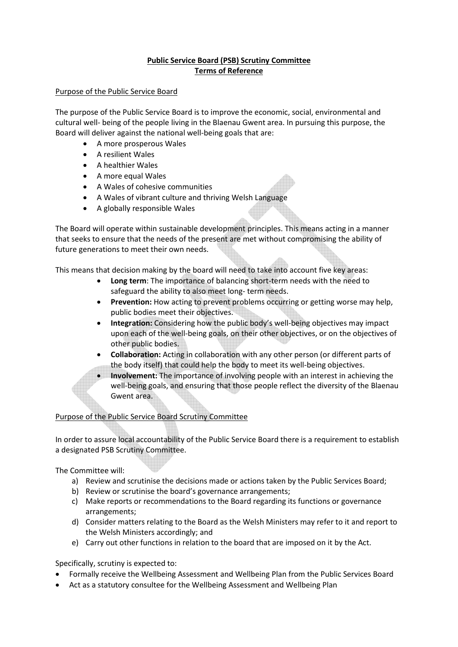# **Public Service Board (PSB) Scrutiny Committee Terms of Reference**

## Purpose of the Public Service Board

The purpose of the Public Service Board is to improve the economic, social, environmental and cultural well- being of the people living in the Blaenau Gwent area. In pursuing this purpose, the Board will deliver against the national well-being goals that are:

- A more prosperous Wales
- A resilient Wales
- A healthier Wales
- A more equal Wales
- A Wales of cohesive communities
- A Wales of vibrant culture and thriving Welsh Language
- A globally responsible Wales

The Board will operate within sustainable development principles. This means acting in a manner that seeks to ensure that the needs of the present are met without compromising the ability of future generations to meet their own needs.

This means that decision making by the board will need to take into account five key areas:

- **Long term**: The importance of balancing short-term needs with the need to safeguard the ability to also meet long- term needs.
- **Prevention:** How acting to prevent problems occurring or getting worse may help, public bodies meet their objectives.
- **Integration:** Considering how the public body's well-being objectives may impact upon each of the well-being goals, on their other objectives, or on the objectives of other public bodies.
- **Collaboration:** Acting in collaboration with any other person (or different parts of the body itself) that could help the body to meet its well-being objectives.
- **Involvement:** The importance of involving people with an interest in achieving the well-being goals, and ensuring that those people reflect the diversity of the Blaenau Gwent area.

## Purpose of the Public Service Board Scrutiny Committee

In order to assure local accountability of the Public Service Board there is a requirement to establish a designated PSB Scrutiny Committee.

The Committee will:

- a) Review and scrutinise the decisions made or actions taken by the Public Services Board;
- b) Review or scrutinise the board's governance arrangements;
- c) Make reports or recommendations to the Board regarding its functions or governance arrangements;
- d) Consider matters relating to the Board as the Welsh Ministers may refer to it and report to the Welsh Ministers accordingly; and
- e) Carry out other functions in relation to the board that are imposed on it by the Act.

Specifically, scrutiny is expected to:

- Formally receive the Wellbeing Assessment and Wellbeing Plan from the Public Services Board
- Act as a statutory consultee for the Wellbeing Assessment and Wellbeing Plan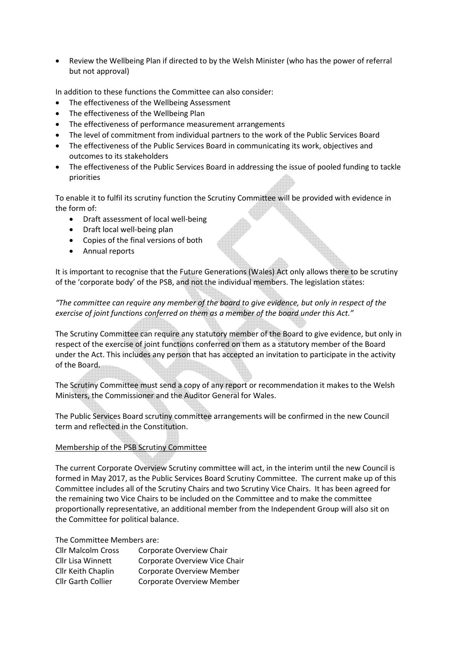• Review the Wellbeing Plan if directed to by the Welsh Minister (who has the power of referral but not approval)

In addition to these functions the Committee can also consider:

- The effectiveness of the Wellbeing Assessment
- The effectiveness of the Wellbeing Plan
- The effectiveness of performance measurement arrangements
- The level of commitment from individual partners to the work of the Public Services Board
- The effectiveness of the Public Services Board in communicating its work, objectives and outcomes to its stakeholders
- The effectiveness of the Public Services Board in addressing the issue of pooled funding to tackle priorities

To enable it to fulfil its scrutiny function the Scrutiny Committee will be provided with evidence in the form of:

- Draft assessment of local well-being
- Draft local well-being plan
- Copies of the final versions of both
- Annual reports

It is important to recognise that the Future Generations (Wales) Act only allows there to be scrutiny of the 'corporate body' of the PSB, and not the individual members. The legislation states:

# *"The committee can require any member of the board to give evidence, but only in respect of the exercise of joint functions conferred on them as a member of the board under this Act."*

The Scrutiny Committee can require any statutory member of the Board to give evidence, but only in respect of the exercise of joint functions conferred on them as a statutory member of the Board under the Act. This includes any person that has accepted an invitation to participate in the activity of the Board.

The Scrutiny Committee must send a copy of any report or recommendation it makes to the Welsh Ministers, the Commissioner and the Auditor General for Wales.

The Public Services Board scrutiny committee arrangements will be confirmed in the new Council term and reflected in the Constitution.

## Membership of the PSB Scrutiny Committee

The current Corporate Overview Scrutiny committee will act, in the interim until the new Council is formed in May 2017, as the Public Services Board Scrutiny Committee. The current make up of this Committee includes all of the Scrutiny Chairs and two Scrutiny Vice Chairs. It has been agreed for the remaining two Vice Chairs to be included on the Committee and to make the committee proportionally representative, an additional member from the Independent Group will also sit on the Committee for political balance.

The Committee Members are:

| <b>Cllr Malcolm Cross</b> | Corporate Overview Chair         |
|---------------------------|----------------------------------|
| Cllr Lisa Winnett         | Corporate Overview Vice Chair    |
| Cllr Keith Chaplin        | Corporate Overview Member        |
| <b>Cllr Garth Collier</b> | <b>Corporate Overview Member</b> |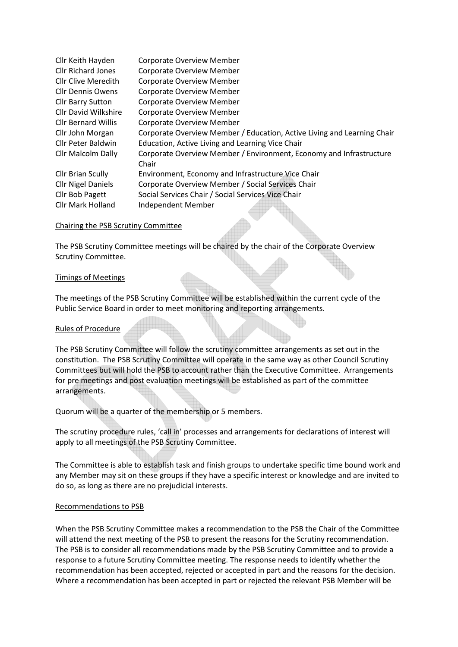| Cllr Keith Hayden           | <b>Corporate Overview Member</b>                                        |
|-----------------------------|-------------------------------------------------------------------------|
| <b>Cllr Richard Jones</b>   | <b>Corporate Overview Member</b>                                        |
| <b>Cllr Clive Meredith</b>  | <b>Corporate Overview Member</b>                                        |
| <b>Cllr Dennis Owens</b>    | <b>Corporate Overview Member</b>                                        |
| <b>Cllr Barry Sutton</b>    | <b>Corporate Overview Member</b>                                        |
| <b>Cllr David Wilkshire</b> | <b>Corporate Overview Member</b>                                        |
| <b>Cllr Bernard Willis</b>  | <b>Corporate Overview Member</b>                                        |
| Cllr John Morgan            | Corporate Overview Member / Education, Active Living and Learning Chair |
| <b>Cllr Peter Baldwin</b>   | Education, Active Living and Learning Vice Chair                        |
| <b>Cllr Malcolm Dally</b>   | Corporate Overview Member / Environment, Economy and Infrastructure     |
|                             | Chair                                                                   |
| <b>Cllr Brian Scully</b>    | Environment, Economy and Infrastructure Vice Chair                      |
| <b>Cllr Nigel Daniels</b>   | Corporate Overview Member / Social Services Chair                       |
| Cllr Bob Pagett             | Social Services Chair / Social Services Vice Chair                      |
| <b>Cllr Mark Holland</b>    | Independent Member                                                      |

### Chairing the PSB Scrutiny Committee

The PSB Scrutiny Committee meetings will be chaired by the chair of the Corporate Overview Scrutiny Committee.

### Timings of Meetings

The meetings of the PSB Scrutiny Committee will be established within the current cycle of the Public Service Board in order to meet monitoring and reporting arrangements.

### Rules of Procedure

The PSB Scrutiny Committee will follow the scrutiny committee arrangements as set out in the constitution. The PSB Scrutiny Committee will operate in the same way as other Council Scrutiny Committees but will hold the PSB to account rather than the Executive Committee. Arrangements for pre meetings and post evaluation meetings will be established as part of the committee arrangements.

Quorum will be a quarter of the membership or 5 members.

The scrutiny procedure rules, 'call in' processes and arrangements for declarations of interest will apply to all meetings of the PSB Scrutiny Committee.

The Committee is able to establish task and finish groups to undertake specific time bound work and any Member may sit on these groups if they have a specific interest or knowledge and are invited to do so, as long as there are no prejudicial interests.

#### Recommendations to PSB

When the PSB Scrutiny Committee makes a recommendation to the PSB the Chair of the Committee will attend the next meeting of the PSB to present the reasons for the Scrutiny recommendation. The PSB is to consider all recommendations made by the PSB Scrutiny Committee and to provide a response to a future Scrutiny Committee meeting. The response needs to identify whether the recommendation has been accepted, rejected or accepted in part and the reasons for the decision. Where a recommendation has been accepted in part or rejected the relevant PSB Member will be